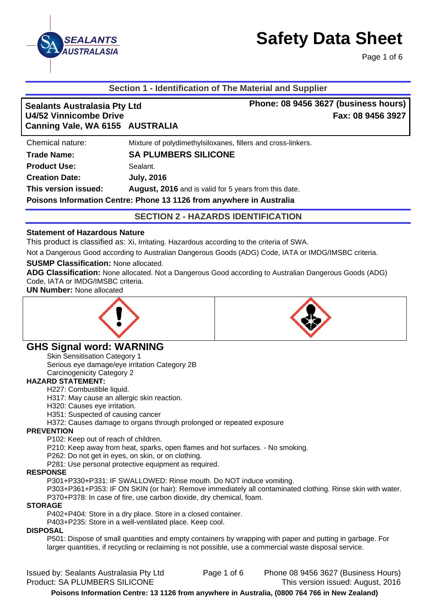

Page 1 of 6

### **Section 1 - Identification of The Material and Supplier**

| <b>Sealants Australasia Pty Ltd</b><br><b>U4/52 Vinnicombe Drive</b> |                                                                      | Phone: 08 9456 3627 (business hours)<br>Fax: 08 9456 3927 |
|----------------------------------------------------------------------|----------------------------------------------------------------------|-----------------------------------------------------------|
| Canning Vale, WA 6155 AUSTRALIA                                      |                                                                      |                                                           |
| Chemical nature:                                                     | Mixture of polydimethylsiloxanes, fillers and cross-linkers.         |                                                           |
| <b>Trade Name:</b>                                                   | <b>SA PLUMBERS SILICONE</b>                                          |                                                           |
| <b>Product Use:</b>                                                  | Sealant.                                                             |                                                           |
| <b>Creation Date:</b>                                                | <b>July, 2016</b>                                                    |                                                           |
| This version issued:                                                 | August, 2016 and is valid for 5 years from this date.                |                                                           |
|                                                                      | Poisons Information Centre: Phone 13 1126 from anywhere in Australia |                                                           |

**SECTION 2 - HAZARDS IDENTIFICATION** 

### **Statement of Hazardous Nature**

This product is classified as: Xi, Irritating. Hazardous according to the criteria of SWA.

Not a Dangerous Good according to Australian Dangerous Goods (ADG) Code, IATA or IMDG/IMSBC criteria.

### **SUSMP Classification:** None allocated.

**ADG Classification:** None allocated. Not a Dangerous Good according to Australian Dangerous Goods (ADG) Code, IATA or IMDG/IMSBC criteria.

**UN Number:** None allocated





# **GHS Signal word: WARNING**

Skin Sensitisation Category 1 Serious eye damage/eye irritation Category 2B

Carcinogenicity Category 2

### **HAZARD STATEMENT:**

H227: Combustible liquid.

H317: May cause an allergic skin reaction.

H320: Causes eye irritation.

H351: Suspected of causing cancer

H372: Causes damage to organs through prolonged or repeated exposure

### **PREVENTION**

P102: Keep out of reach of children.

P210: Keep away from heat, sparks, open flames and hot surfaces. - No smoking.

P262: Do not get in eyes, on skin, or on clothing.

P281: Use personal protective equipment as required.

#### **RESPONSE**

P301+P330+P331: IF SWALLOWED: Rinse mouth. Do NOT induce vomiting.

P303+P361+P353: IF ON SKIN (or hair): Remove immediately all contaminated clothing. Rinse skin with water. P370+P378: In case of fire, use carbon dioxide, dry chemical, foam.

#### **STORAGE**

P402+P404: Store in a dry place. Store in a closed container.

P403+P235: Store in a well-ventilated place. Keep cool.

#### **DISPOSAL**

P501: Dispose of small quantities and empty containers by wrapping with paper and putting in garbage. For larger quantities, if recycling or reclaiming is not possible, use a commercial waste disposal service.

Issued by: Sealants Australasia Pty Ltd Page 1 of 6 Phone 08 9456 3627 (Business Hours) Product: SA PLUMBERS SILICONE This version issued: August, 2016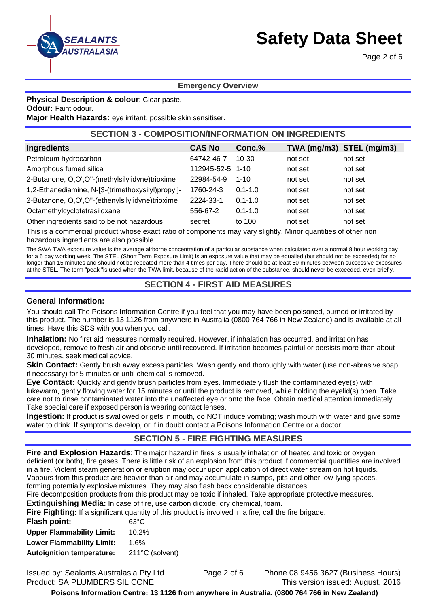

Page 2 of 6

### **Emergency Overview**

**Physical Description & colour**: Clear paste.

**Odour:** Faint odour.

**Major Health Hazards:** eye irritant, possible skin sensitiser.

# **SECTION 3 - COMPOSITION/INFORMATION ON INGREDIENTS**

| Ingredients                                       | <b>CAS No</b>    | Conc,%      | TWA (mg/m3) STEL (mg/m3) |         |
|---------------------------------------------------|------------------|-------------|--------------------------|---------|
| Petroleum hydrocarbon                             | 64742-46-7       | $10 - 30$   | not set                  | not set |
| Amorphous fumed silica                            | 112945-52-5 1-10 |             | not set                  | not set |
| 2-Butanone, O,O',O"-(methylsilylidyne)trioxime    | 22984-54-9       | $1 - 10$    | not set                  | not set |
| 1,2-Ethanediamine, N-[3-(trimethoxysilyl)propyl]- | 1760-24-3        | $0.1 - 1.0$ | not set                  | not set |
| 2-Butanone, O,O',O"-(ethenylsilylidyne)trioxime   | 2224-33-1        | $0.1 - 1.0$ | not set                  | not set |
| Octamethylcyclotetrasiloxane                      | 556-67-2         | $0.1 - 1.0$ | not set                  | not set |
| Other ingredients said to be not hazardous        | secret           | to 100      | not set                  | not set |

This is a commercial product whose exact ratio of components may vary slightly. Minor quantities of other non hazardous ingredients are also possible.

The SWA TWA exposure value is the average airborne concentration of a particular substance when calculated over a normal 8 hour working day for a 5 day working week. The STEL (Short Term Exposure Limit) is an exposure value that may be equalled (but should not be exceeded) for no longer than 15 minutes and should not be repeated more than 4 times per day. There should be at least 60 minutes between successive exposures at the STEL. The term "peak "is used when the TWA limit, because of the rapid action of the substance, should never be exceeded, even briefly.

### **SECTION 4 - FIRST AID MEASURES**

#### **General Information:**

You should call The Poisons Information Centre if you feel that you may have been poisoned, burned or irritated by this product. The number is 13 1126 from anywhere in Australia (0800 764 766 in New Zealand) and is available at all times. Have this SDS with you when you call.

**Inhalation:** No first aid measures normally required. However, if inhalation has occurred, and irritation has developed, remove to fresh air and observe until recovered. If irritation becomes painful or persists more than about 30 minutes, seek medical advice.

**Skin Contact:** Gently brush away excess particles. Wash gently and thoroughly with water (use non-abrasive soap if necessary) for 5 minutes or until chemical is removed.

**Eye Contact:** Quickly and gently brush particles from eyes. Immediately flush the contaminated eye(s) with lukewarm, gently flowing water for 15 minutes or until the product is removed, while holding the eyelid(s) open. Take care not to rinse contaminated water into the unaffected eye or onto the face. Obtain medical attention immediately. Take special care if exposed person is wearing contact lenses.

**Ingestion:** If product is swallowed or gets in mouth, do NOT induce vomiting; wash mouth with water and give some water to drink. If symptoms develop, or if in doubt contact a Poisons Information Centre or a doctor.

### **SECTION 5 - FIRE FIGHTING MEASURES**

**Fire and Explosion Hazards**: The major hazard in fires is usually inhalation of heated and toxic or oxygen deficient (or both), fire gases. There is little risk of an explosion from this product if commercial quantities are involved in a fire. Violent steam generation or eruption may occur upon application of direct water stream on hot liquids. Vapours from this product are heavier than air and may accumulate in sumps, pits and other low-lying spaces, forming potentially explosive mixtures. They may also flash back considerable distances.

Fire decomposition products from this product may be toxic if inhaled. Take appropriate protective measures.

**Extinguishing Media:** In case of fire, use carbon dioxide, dry chemical, foam.

**Fire Fighting:** If a significant quantity of this product is involved in a fire, call the fire brigade.

| 63°C            |
|-----------------|
| 10.2%           |
| 1.6%            |
| 211°C (solvent) |
|                 |

Issued by: Sealants Australasia Pty Ltd Page 2 of 6 Phone 08 9456 3627 (Business Hours) Product: SA PLUMBERS SILICONE This version issued: August, 2016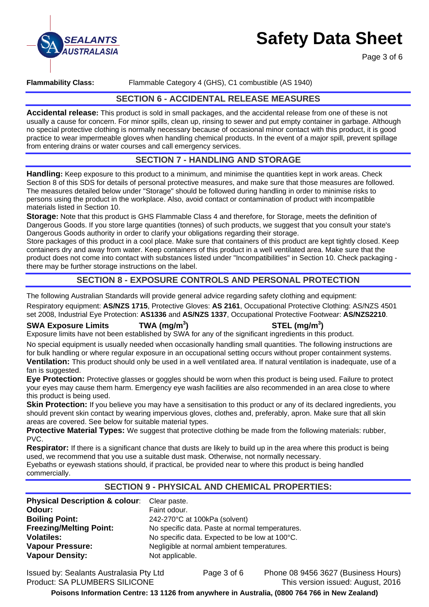

Page 3 of 6

### **Flammability Class:** Flammable Category 4 (GHS), C1 combustible (AS 1940)

### **SECTION 6 - ACCIDENTAL RELEASE MEASURES**

**Accidental release:** This product is sold in small packages, and the accidental release from one of these is not usually a cause for concern. For minor spills, clean up, rinsing to sewer and put empty container in garbage. Although no special protective clothing is normally necessary because of occasional minor contact with this product, it is good practice to wear impermeable gloves when handling chemical products. In the event of a major spill, prevent spillage from entering drains or water courses and call emergency services.

# **SECTION 7 - HANDLING AND STORAGE**

**Handling:** Keep exposure to this product to a minimum, and minimise the quantities kept in work areas. Check Section 8 of this SDS for details of personal protective measures, and make sure that those measures are followed. The measures detailed below under "Storage" should be followed during handling in order to minimise risks to persons using the product in the workplace. Also, avoid contact or contamination of product with incompatible materials listed in Section 10.

**Storage:** Note that this product is GHS Flammable Class 4 and therefore, for Storage, meets the definition of Dangerous Goods. If you store large quantities (tonnes) of such products, we suggest that you consult your state's Dangerous Goods authority in order to clarify your obligations regarding their storage.

Store packages of this product in a cool place. Make sure that containers of this product are kept tightly closed. Keep containers dry and away from water. Keep containers of this product in a well ventilated area. Make sure that the product does not come into contact with substances listed under "Incompatibilities" in Section 10. Check packaging there may be further storage instructions on the label.

# **SECTION 8 - EXPOSURE CONTROLS AND PERSONAL PROTECTION**

The following Australian Standards will provide general advice regarding safety clothing and equipment:

Respiratory equipment: **AS/NZS 1715**, Protective Gloves: **AS 2161**, Occupational Protective Clothing: AS/NZS 4501 set 2008, Industrial Eye Protection: **AS1336** and **AS/NZS 1337**, Occupational Protective Footwear: **AS/NZS2210**.

### **SWA Exposure Limits TWA (mg/m<sup>3</sup>**

### **) STEL (mg/m<sup>3</sup> )**

Exposure limits have not been established by SWA for any of the significant ingredients in this product.

No special equipment is usually needed when occasionally handling small quantities. The following instructions are for bulk handling or where regular exposure in an occupational setting occurs without proper containment systems. **Ventilation:** This product should only be used in a well ventilated area. If natural ventilation is inadequate, use of a fan is suggested.

**Eye Protection:** Protective glasses or goggles should be worn when this product is being used. Failure to protect your eyes may cause them harm. Emergency eye wash facilities are also recommended in an area close to where this product is being used.

**Skin Protection:** If you believe you may have a sensitisation to this product or any of its declared ingredients, you should prevent skin contact by wearing impervious gloves, clothes and, preferably, apron. Make sure that all skin areas are covered. See below for suitable material types.

**Protective Material Types:** We suggest that protective clothing be made from the following materials: rubber, PVC.

**Respirator:** If there is a significant chance that dusts are likely to build up in the area where this product is being used, we recommend that you use a suitable dust mask. Otherwise, not normally necessary. Eyebaths or eyewash stations should, if practical, be provided near to where this product is being handled

commercially.

# **SECTION 9 - PHYSICAL AND CHEMICAL PROPERTIES:**

| Physical Description & colour: Clear paste. |                                                 |
|---------------------------------------------|-------------------------------------------------|
| Odour:                                      | Faint odour.                                    |
| <b>Boiling Point:</b>                       | 242-270°C at 100kPa (solvent)                   |
| <b>Freezing/Melting Point:</b>              | No specific data. Paste at normal temperatures. |
| <b>Volatiles:</b>                           | No specific data. Expected to be low at 100°C.  |
| <b>Vapour Pressure:</b>                     | Negligible at normal ambient temperatures.      |
| <b>Vapour Density:</b>                      | Not applicable.                                 |

Issued by: Sealants Australasia Pty Ltd Page 3 of 6 Phone 08 9456 3627 (Business Hours) Product: SA PLUMBERS SILICONE This version issued: August, 2016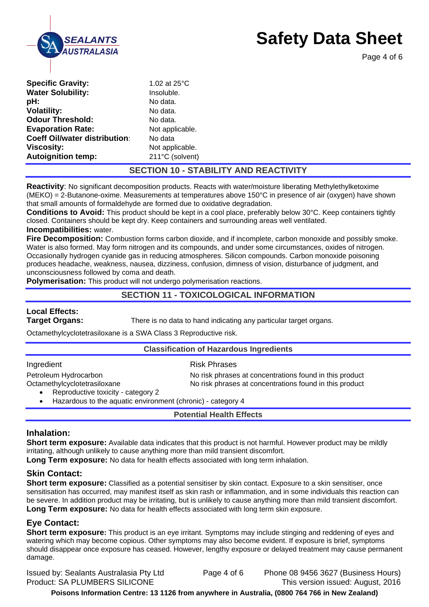

Page 4 of 6

| <b>Odour Threshold:</b><br>No data.<br><b>Evaporation Rate:</b><br>Not applicable.<br><b>Coeff Oil/water distribution:</b><br>No data<br><b>Viscosity:</b><br>Not applicable.<br><b>Autoignition temp:</b><br>211°C (solvent) |
|-------------------------------------------------------------------------------------------------------------------------------------------------------------------------------------------------------------------------------|
|-------------------------------------------------------------------------------------------------------------------------------------------------------------------------------------------------------------------------------|

# **SECTION 10 - STABILITY AND REACTIVITY**

**Reactivity**: No significant decomposition products. Reacts with water/moisture liberating Methylethylketoxime (MEKO) = 2-Butanone-oxime. Measurements at temperatures above 150°C in presence of air (oxygen) have shown that small amounts of formaldehyde are formed due to oxidative degradation.

**Conditions to Avoid:** This product should be kept in a cool place, preferably below 30°C. Keep containers tightly closed. Containers should be kept dry. Keep containers and surrounding areas well ventilated. **Incompatibilities:** water.

**Fire Decomposition:** Combustion forms carbon dioxide, and if incomplete, carbon monoxide and possibly smoke. Water is also formed. May form nitrogen and its compounds, and under some circumstances, oxides of nitrogen. Occasionally hydrogen cyanide gas in reducing atmospheres. Silicon compounds. Carbon monoxide poisoning produces headache, weakness, nausea, dizziness, confusion, dimness of vision, disturbance of judgment, and unconsciousness followed by coma and death.

**Polymerisation:** This product will not undergo polymerisation reactions.

### **SECTION 11 - TOXICOLOGICAL INFORMATION**

# **Local Effects:**

**Target Organs:** There is no data to hand indicating any particular target organs.

Octamethylcyclotetrasiloxane is a SWA Class 3 Reproductive risk.

### **Classification of Hazardous Ingredients**

| Ingredient                                                         | <b>Risk Phrases</b>                                     |
|--------------------------------------------------------------------|---------------------------------------------------------|
| Petroleum Hydrocarbon                                              | No risk phrases at concentrations found in this product |
| Octamethylcyclotetrasiloxane<br>Reproductive toxicity - category 2 | No risk phrases at concentrations found in this product |

Hazardous to the aquatic environment (chronic) - category 4

### **Potential Health Effects**

### **Inhalation:**

**Short term exposure:** Available data indicates that this product is not harmful. However product may be mildly irritating, although unlikely to cause anything more than mild transient discomfort.

Long Term exposure: No data for health effects associated with long term inhalation.

### **Skin Contact:**

**Short term exposure:** Classified as a potential sensitiser by skin contact. Exposure to a skin sensitiser, once sensitisation has occurred, may manifest itself as skin rash or inflammation, and in some individuals this reaction can be severe. In addition product may be irritating, but is unlikely to cause anything more than mild transient discomfort. **Long Term exposure:** No data for health effects associated with long term skin exposure.

# **Eye Contact:**

**Short term exposure:** This product is an eye irritant. Symptoms may include stinging and reddening of eyes and watering which may become copious. Other symptoms may also become evident. If exposure is brief, symptoms should disappear once exposure has ceased. However, lengthy exposure or delayed treatment may cause permanent damage.

Issued by: Sealants Australasia Pty Ltd Page 4 of 6 Phone 08 9456 3627 (Business Hours) Product: SA PLUMBERS SILICONE This version issued: August, 2016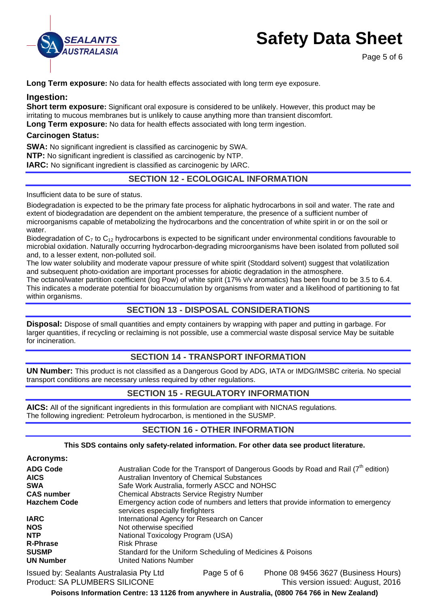

Page 5 of 6

**Long Term exposure:** No data for health effects associated with long term eve exposure.

### **Ingestion:**

**Short term exposure:** Significant oral exposure is considered to be unlikely. However, this product may be irritating to mucous membranes but is unlikely to cause anything more than transient discomfort.

**Long Term exposure:** No data for health effects associated with long term ingestion.

### **Carcinogen Status:**

**SWA:** No significant ingredient is classified as carcinogenic by SWA. **NTP:** No significant ingredient is classified as carcinogenic by NTP. **IARC:** No significant ingredient is classified as carcinogenic by IARC.

# **SECTION 12 - ECOLOGICAL INFORMATION**

Insufficient data to be sure of status.

Biodegradation is expected to be the primary fate process for aliphatic hydrocarbons in soil and water. The rate and extent of biodegradation are dependent on the ambient temperature, the presence of a sufficient number of microorganisms capable of metabolizing the hydrocarbons and the concentration of white spirit in or on the soil or water.

Biodegradation of  $C_7$  to  $C_{12}$  hydrocarbons is expected to be significant under environmental conditions favourable to microbial oxidation. Naturally occurring hydrocarbon-degrading microorganisms have been isolated from polluted soil and, to a lesser extent, non-polluted soil.

The low water solubility and moderate vapour pressure of white spirit (Stoddard solvent) suggest that volatilization and subsequent photo-oxidation are important processes for abiotic degradation in the atmosphere.

The octanol/water partition coefficient (log Pow) of white spirit (17% v/v aromatics) has been found to be 3.5 to 6.4. This indicates a moderate potential for bioaccumulation by organisms from water and a likelihood of partitioning to fat within organisms.

# **SECTION 13 - DISPOSAL CONSIDERATIONS**

**Disposal:** Dispose of small quantities and empty containers by wrapping with paper and putting in garbage. For larger quantities, if recycling or reclaiming is not possible, use a commercial waste disposal service May be suitable for incineration.

# **SECTION 14 - TRANSPORT INFORMATION**

**UN Number:** This product is not classified as a Dangerous Good by ADG, IATA or IMDG/IMSBC criteria. No special transport conditions are necessary unless required by other regulations.

# **SECTION 15 - REGULATORY INFORMATION**

**AICS:** All of the significant ingredients in this formulation are compliant with NICNAS regulations. The following ingredient: Petroleum hydrocarbon, is mentioned in the SUSMP.

### **SECTION 16 - OTHER INFORMATION**

### **This SDS contains only safety-related information. For other data see product literature.**

| <b>Acronyms:</b> |  |
|------------------|--|
|------------------|--|

| <b>ADG Code</b>     | Australian Code for the Transport of Dangerous Goods by Road and Rail $(7th$ edition)                                   |
|---------------------|-------------------------------------------------------------------------------------------------------------------------|
| <b>AICS</b>         | Australian Inventory of Chemical Substances                                                                             |
| <b>SWA</b>          | Safe Work Australia, formerly ASCC and NOHSC                                                                            |
| <b>CAS number</b>   | <b>Chemical Abstracts Service Registry Number</b>                                                                       |
| <b>Hazchem Code</b> | Emergency action code of numbers and letters that provide information to emergency<br>services especially fire fighters |
| <b>IARC</b>         | International Agency for Research on Cancer                                                                             |
| <b>NOS</b>          | Not otherwise specified                                                                                                 |
| <b>NTP</b>          | National Toxicology Program (USA)                                                                                       |
| <b>R-Phrase</b>     | <b>Risk Phrase</b>                                                                                                      |
| <b>SUSMP</b>        | Standard for the Uniform Scheduling of Medicines & Poisons                                                              |
| <b>UN Number</b>    | <b>United Nations Number</b>                                                                                            |
|                     |                                                                                                                         |

Issued by: Sealants Australasia Pty Ltd Page 5 of 6 Phone 08 9456 3627 (Business Hours) Product: SA PLUMBERS SILICONE This version issued: August, 2016